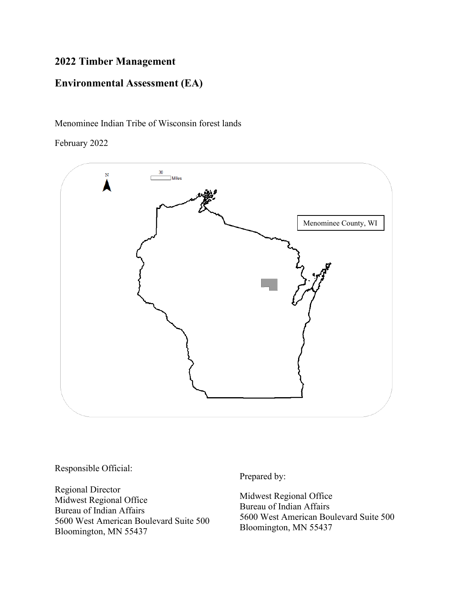# **2022 Timber Management**

# **Environmental Assessment (EA)**

Menominee Indian Tribe of Wisconsin forest lands

February 2022



Responsible Official:

Regional Director Midwest Regional Office Bureau of Indian Affairs 5600 West American Boulevard Suite 500 Bloomington, MN 55437

Prepared by:

Midwest Regional Office Bureau of Indian Affairs 5600 West American Boulevard Suite 500 Bloomington, MN 55437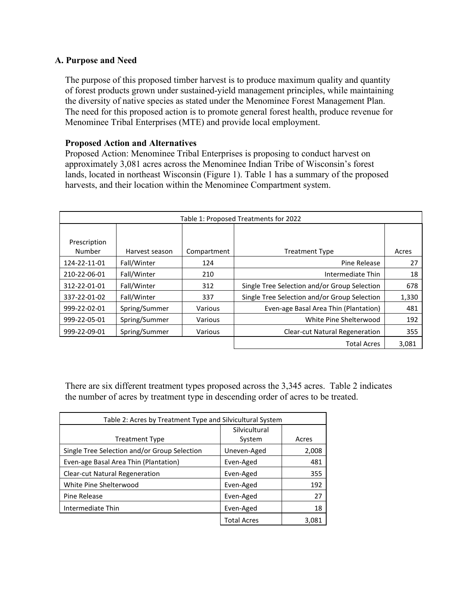# **A. Purpose and Need**

The purpose of this proposed timber harvest is to produce maximum quality and quantity of forest products grown under sustained-yield management principles, while maintaining the diversity of native species as stated under the Menominee Forest Management Plan. The need for this proposed action is to promote general forest health, produce revenue for Menominee Tribal Enterprises (MTE) and provide local employment.

## **Proposed Action and Alternatives**

Proposed Action: Menominee Tribal Enterprises is proposing to conduct harvest on approximately 3,081 acres across the Menominee Indian Tribe of Wisconsin's forest lands, located in northeast Wisconsin (Figure 1). Table 1 has a summary of the proposed harvests, and their location within the Menominee Compartment system.

| Table 1: Proposed Treatments for 2022 |                |             |                                              |       |  |  |
|---------------------------------------|----------------|-------------|----------------------------------------------|-------|--|--|
| Prescription<br>Number                | Harvest season | Compartment | <b>Treatment Type</b>                        | Acres |  |  |
| 124-22-11-01                          | Fall/Winter    | 124         | Pine Release                                 | 27    |  |  |
| 210-22-06-01                          | Fall/Winter    | 210         | Intermediate Thin                            | 18    |  |  |
| 312-22-01-01                          | Fall/Winter    | 312         | Single Tree Selection and/or Group Selection | 678   |  |  |
| 337-22-01-02                          | Fall/Winter    | 337         | Single Tree Selection and/or Group Selection | 1,330 |  |  |
| 999-22-02-01                          | Spring/Summer  | Various     | Even-age Basal Area Thin (Plantation)        | 481   |  |  |
| 999-22-05-01                          | Spring/Summer  | Various     | White Pine Shelterwood                       | 192   |  |  |
| 999-22-09-01                          | Spring/Summer  | Various     | <b>Clear-cut Natural Regeneration</b>        | 355   |  |  |
|                                       |                |             | <b>Total Acres</b>                           | 3,081 |  |  |

There are six different treatment types proposed across the 3,345 acres. Table 2 indicates the number of acres by treatment type in descending order of acres to be treated.

| Table 2: Acres by Treatment Type and Silvicultural System |                    |       |  |  |
|-----------------------------------------------------------|--------------------|-------|--|--|
|                                                           | Silvicultural      |       |  |  |
| <b>Treatment Type</b>                                     | System             | Acres |  |  |
| Single Tree Selection and/or Group Selection              | Uneven-Aged        | 2,008 |  |  |
| Even-age Basal Area Thin (Plantation)                     | Even-Aged          | 481   |  |  |
| <b>Clear-cut Natural Regeneration</b>                     | Even-Aged          | 355   |  |  |
| White Pine Shelterwood                                    | Even-Aged          | 192   |  |  |
| Pine Release                                              | Even-Aged          | 27    |  |  |
| Intermediate Thin                                         | Even-Aged          | 18    |  |  |
|                                                           | <b>Total Acres</b> | 3.081 |  |  |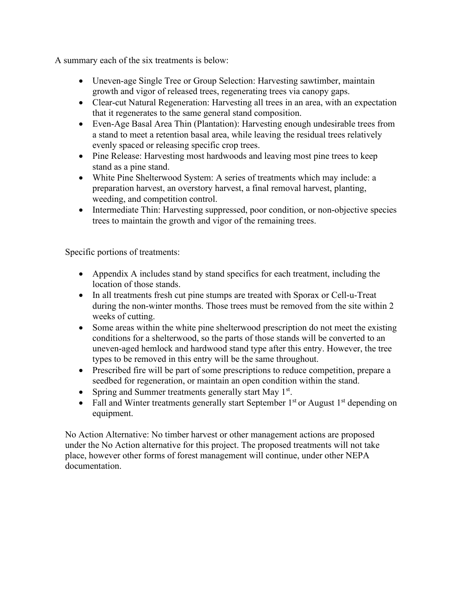A summary each of the six treatments is below:

- Uneven-age Single Tree or Group Selection: Harvesting sawtimber, maintain growth and vigor of released trees, regenerating trees via canopy gaps.
- Clear-cut Natural Regeneration: Harvesting all trees in an area, with an expectation that it regenerates to the same general stand composition.
- Even-Age Basal Area Thin (Plantation): Harvesting enough undesirable trees from a stand to meet a retention basal area, while leaving the residual trees relatively evenly spaced or releasing specific crop trees.
- Pine Release: Harvesting most hardwoods and leaving most pine trees to keep stand as a pine stand.
- White Pine Shelterwood System: A series of treatments which may include: a preparation harvest, an overstory harvest, a final removal harvest, planting, weeding, and competition control.
- Intermediate Thin: Harvesting suppressed, poor condition, or non-objective species trees to maintain the growth and vigor of the remaining trees.

Specific portions of treatments:

- Appendix A includes stand by stand specifics for each treatment, including the location of those stands.
- In all treatments fresh cut pine stumps are treated with Sporax or Cell-u-Treat during the non-winter months. Those trees must be removed from the site within 2 weeks of cutting.
- Some areas within the white pine shelterwood prescription do not meet the existing conditions for a shelterwood, so the parts of those stands will be converted to an uneven-aged hemlock and hardwood stand type after this entry. However, the tree types to be removed in this entry will be the same throughout.
- Prescribed fire will be part of some prescriptions to reduce competition, prepare a seedbed for regeneration, or maintain an open condition within the stand.
- Spring and Summer treatments generally start May  $1<sup>st</sup>$ .
- Fall and Winter treatments generally start September  $1<sup>st</sup>$  or August  $1<sup>st</sup>$  depending on equipment.

No Action Alternative: No timber harvest or other management actions are proposed under the No Action alternative for this project. The proposed treatments will not take place, however other forms of forest management will continue, under other NEPA documentation.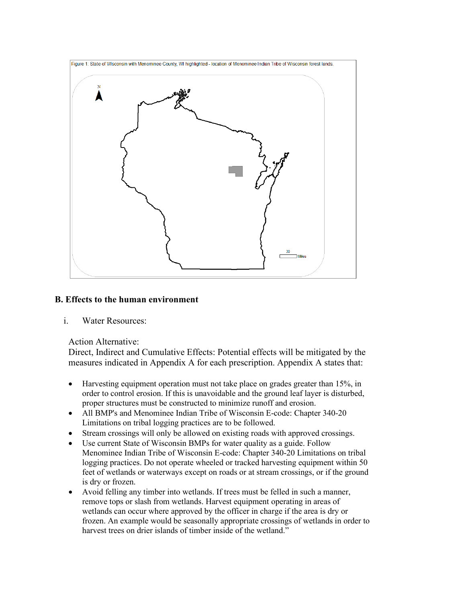

# **B. Effects to the human environment**

i. Water Resources:

## Action Alternative:

Direct, Indirect and Cumulative Effects: Potential effects will be mitigated by the measures indicated in Appendix A for each prescription. Appendix A states that:

- Harvesting equipment operation must not take place on grades greater than 15%, in order to control erosion. If this is unavoidable and the ground leaf layer is disturbed, proper structures must be constructed to minimize runoff and erosion.
- All BMP's and Menominee Indian Tribe of Wisconsin E-code: Chapter 340-20 Limitations on tribal logging practices are to be followed.
- Stream crossings will only be allowed on existing roads with approved crossings.
- Use current State of Wisconsin BMPs for water quality as a guide. Follow Menominee Indian Tribe of Wisconsin E-code: Chapter 340-20 Limitations on tribal logging practices. Do not operate wheeled or tracked harvesting equipment within 50 feet of wetlands or waterways except on roads or at stream crossings, or if the ground is dry or frozen.
- Avoid felling any timber into wetlands. If trees must be felled in such a manner, remove tops or slash from wetlands. Harvest equipment operating in areas of wetlands can occur where approved by the officer in charge if the area is dry or frozen. An example would be seasonally appropriate crossings of wetlands in order to harvest trees on drier islands of timber inside of the wetland."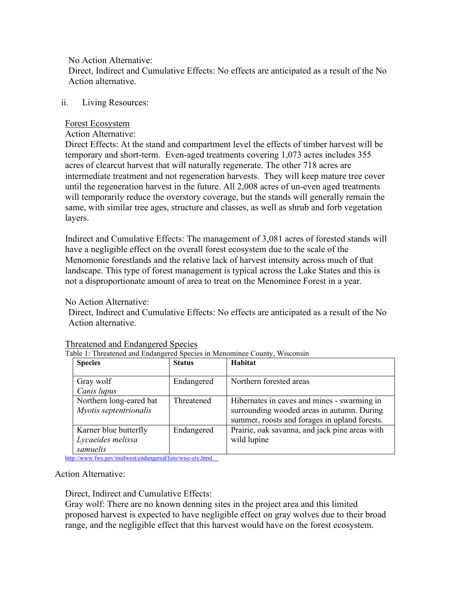No Action Alternative:

Direct, Indirect and Cumulative Effects: No effects are anticipated as a result of the No Action alternative.

# ii. Living Resources:

## Forest Ecosystem

### Action Alternative:

Direct Effects: At the stand and compartment level the effects of timber harvest will be temporary and short-term. Even-aged treatments covering 1,073 acres includes 355 acres of clearcut harvest that will naturally regenerate. The other 718 acres are intermediate treatment and not regeneration harvests. They will keep mature tree cover until the regeneration harvest in the future. All 2,008 acres of un-even aged treatments will temporarily reduce the overstory coverage, but the stands will generally remain the same, with similar tree ages, structure and classes, as well as shrub and forb vegetation layers.

Indirect and Cumulative Effects: The management of 3,081 acres of forested stands will have a negligible effect on the overall forest ecosystem due to the scale of the Menomonie forestlands and the relative lack of harvest intensity across much of that landscape. This type of forest management is typical across the Lake States and this is not a disproportionate amount of area to treat on the Menominee Forest in a year.

No Action Alternative:

Direct, Indirect and Cumulative Effects: No effects are anticipated as a result of the No Action alternative.

| <b>Species</b>                                         | <b>Status</b> | Habitat                                                                                                                                    |
|--------------------------------------------------------|---------------|--------------------------------------------------------------------------------------------------------------------------------------------|
| Gray wolf<br>Canis lupus                               | Endangered    | Northern forested areas                                                                                                                    |
| Northern long-eared bat<br>Myotis septentrionalis      | Threatened    | Hibernates in caves and mines - swarming in<br>surrounding wooded areas in autumn. During<br>summer, roosts and forages in upland forests. |
| Karner blue butterfly<br>Lycaeides melissa<br>samuelis | Endangered    | Prairie, oak savanna, and jack pine areas with<br>wild lupine                                                                              |

## Threatened and Endangered Species

Table 1: Threatened and Endangered Species in Menominee County, Wisconsin

<http://www.fws.gov/midwest/endangered/lists/wisc-cty.html>

## Action Alternative:

Direct, Indirect and Cumulative Effects:

Gray wolf: There are no known denning sites in the project area and this limited proposed harvest is expected to have negligible effect on gray wolves due to their broad range, and the negligible effect that this harvest would have on the forest ecosystem.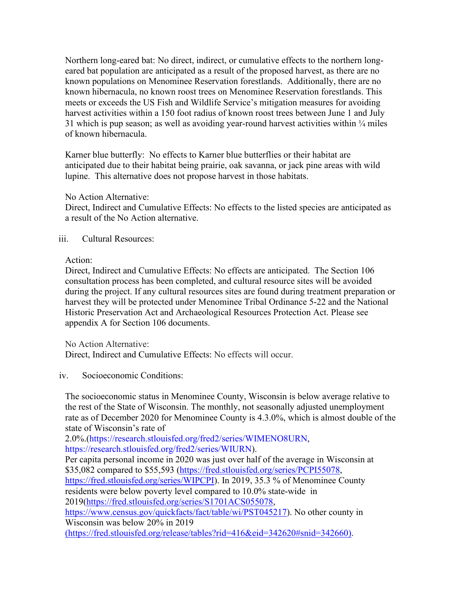[Northern long-eared bat:](http://www.fws.gov/midwest/endangered/mammals/nleb/index.html) No direct, indirect, or cumulative effects to the northern longeared bat population are anticipated as a result of the proposed harvest, as there are no known populations on Menominee Reservation forestlands. Additionally, there are no known hibernacula, no known roost trees on Menominee Reservation forestlands. This meets or exceeds the US Fish and Wildlife Service's mitigation measures for avoiding harvest activities within a 150 foot radius of known roost trees between June 1 and July 31 which is pup season; as well as avoiding year-round harvest activities within  $\frac{1}{4}$  miles of known hibernacula.

Karner blue butterfly: No effects to Karner blue butterflies or their habitat are anticipated due to their habitat being prairie, oak savanna, or jack pine areas with wild lupine. This alternative does not propose harvest in those habitats.

## No Action Alternative:

Direct, Indirect and Cumulative Effects: No effects to the listed species are anticipated as a result of the No Action alternative.

### iii. Cultural Resources:

#### Action:

Direct, Indirect and Cumulative Effects: No effects are anticipated. The Section 106 consultation process has been completed, and cultural resource sites will be avoided during the project. If any cultural resources sites are found during treatment preparation or harvest they will be protected under Menominee Tribal Ordinance 5-22 and the National Historic Preservation Act and Archaeological Resources Protection Act. Please see appendix A for Section 106 documents.

No Action Alternative:

Direct, Indirect and Cumulative Effects: No effects will occur.

## iv. Socioeconomic Conditions:

The socioeconomic status in Menominee County, Wisconsin is below average relative to the rest of the State of Wisconsin. The monthly, not seasonally adjusted unemployment rate as of December 2020 for Menominee County is 4.3.0%, which is almost double of the state of Wisconsin's rate of

2.0%.[\(https://research.stlouisfed.org/fred2/series/WIMENO8URN,](https://research.stlouisfed.org/fred2/series/WIMENO8URN) [https://research.stlouisfed.org/fred2/series/WIURN\)](https://research.stlouisfed.org/fred2/series/WIURN).

Per capita personal income in 2020 was just over half of the average in Wisconsin at \$35,082 compared to \$55,593 [\(https://fred.stlouisfed.org/series/PCPI55078,](https://fred.stlouisfed.org/series/PCPI55078) [https://fred.stlouisfed.org/series/WIPCPI\)](https://fred.stlouisfed.org/series/WIPCPI). In 2019, 35.3 % of Menominee County residents were below poverty level compared to 10.0% state-wide in 2019[\(https://fred.stlouisfed.org/series/S1701ACS055078,](https://fred.stlouisfed.org/series/S1701ACS055078) [https://www.census.gov/quickfacts/fact/table/wi/PST045217\)](https://www.census.gov/quickfacts/fact/table/wi/PST045217). No other county in Wisconsin was below 20% in 2019

[\(https://fred.stlouisfed.org/release/tables?rid=416&eid=342620#snid=342660\).](https://fred.stlouisfed.org/release/tables?rid=416&eid=342620#snid=342660)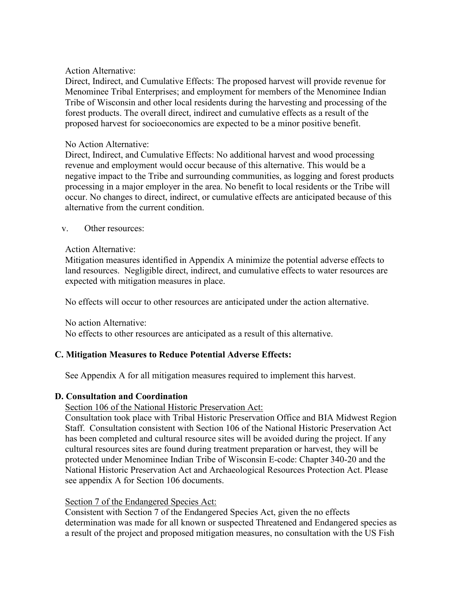### Action Alternative:

Direct, Indirect, and Cumulative Effects: The proposed harvest will provide revenue for Menominee Tribal Enterprises; and employment for members of the Menominee Indian Tribe of Wisconsin and other local residents during the harvesting and processing of the forest products. The overall direct, indirect and cumulative effects as a result of the proposed harvest for socioeconomics are expected to be a minor positive benefit.

#### No Action Alternative:

Direct, Indirect, and Cumulative Effects: No additional harvest and wood processing revenue and employment would occur because of this alternative. This would be a negative impact to the Tribe and surrounding communities, as logging and forest products processing in a major employer in the area. No benefit to local residents or the Tribe will occur. No changes to direct, indirect, or cumulative effects are anticipated because of this alternative from the current condition.

#### v. Other resources:

#### Action Alternative:

Mitigation measures identified in Appendix A minimize the potential adverse effects to land resources. Negligible direct, indirect, and cumulative effects to water resources are expected with mitigation measures in place.

No effects will occur to other resources are anticipated under the action alternative.

#### No action Alternative:

No effects to other resources are anticipated as a result of this alternative.

## **C. Mitigation Measures to Reduce Potential Adverse Effects:**

See Appendix A for all mitigation measures required to implement this harvest.

## **D. Consultation and Coordination**

## Section 106 of the National Historic Preservation Act:

Consultation took place with Tribal Historic Preservation Office and BIA Midwest Region Staff. Consultation consistent with Section 106 of the National Historic Preservation Act has been completed and cultural resource sites will be avoided during the project. If any cultural resources sites are found during treatment preparation or harvest, they will be protected under Menominee Indian Tribe of Wisconsin E-code: Chapter 340-20 and the National Historic Preservation Act and Archaeological Resources Protection Act. Please see appendix A for Section 106 documents.

## Section 7 of the Endangered Species Act:

Consistent with Section 7 of the Endangered Species Act, given the no effects determination was made for all known or suspected Threatened and Endangered species as a result of the project and proposed mitigation measures, no consultation with the US Fish